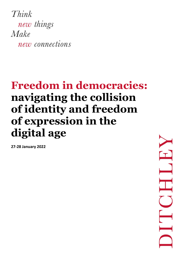Think new things Make new connections

## **Freedom in democracies: navigating the collision of identity and freedom of expression in the digital age**

**27-28 January 2022**

 $\mathbf{T}$  $\blacksquare$  $\sum$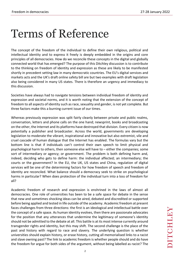## Terms of Reference

The concept of the freedom of the individual to define their own religious, political and intellectual identity and to express it freely is deeply embedded in the origins and core principles of all democracies. How do we reconcile these concepts in the digital and globally connected world that has emerged? The purpose of this Ditchley discussion is to contribute to the thinking on freedom of identity and expression as these are likely to be manifested shortly in precedent setting law in many democratic countries. The EU's digital services and markets acts and the UK's draft online safety bill are but two examples with draft legislation also being considered in many US states. There is therefore an urgency and immediacy to this discussion.

Societies have always had to navigate tensions between individual freedom of identity and expression and societal norms, and it is worth noting that the extension of the concept of freedom to all aspects of identity such as race, sexuality and gender, is not yet complete. But three factors make this a burning current issue of our times.

Whereas previously expression was split fairly cleanly between private and public realms, conversation, letters and phone calls on the one hand; newsprint, books and broadcasting on the other, the Internet and its platforms have destroyed that division. Every citizen is now potentially a publisher and broadcaster. Across the world, governments are developing legislation to moderate the vibrant, inspirational and innovative but also extremist, vile and cruel cascade of human dialogue that the Internet has enabled. The formulas vary but the bottom line is that if individuals can't control their own speech to limit physical and psychological harm to others, then someone else will have to – either the companies; some sort of intermediary or agency; or government. The problem is both defining harm and, indeed, deciding who gets to define harm: the individual affected; an intermediary; the courts or the government? In the EU, the UK, US states and China, regulation of digital services will be one of the determining factors for how freedom of speech and freedom of identity are reconciled. What balance should a democracy seek to strike on psychological harms in particular? When does protection of the individual turn into a loss of freedom for all?

Academic freedom of research and expression is enshrined in the laws of almost all democracies. One role of universities has been to be a safe space for debate in the sense that new and sometimes shocking ideas can be aired, debated and discredited or supported before being applied and tested in life outside of the academy. Academic freedom at present faces challenges from three directions: the first is an ideological and intellectual battle over the concept of a safe space. As human identity evolves, then there are passionate advocates for the position that any utterances that undermine the legitimacy of someone's identity should not be admitted to the debate at all. This battle is at its most intense currently around transgender rights and identity, but this may shift. The second challenge is the place of the past and history with regard to race and slavery. The underlying question is whether universities should explain history, or erase history, cutting all memorialised links to a racist and slave owning past? The link to academic freedom is whether people should and do have the freedom for argue for both sides of the argument, without being labelled as racist? The